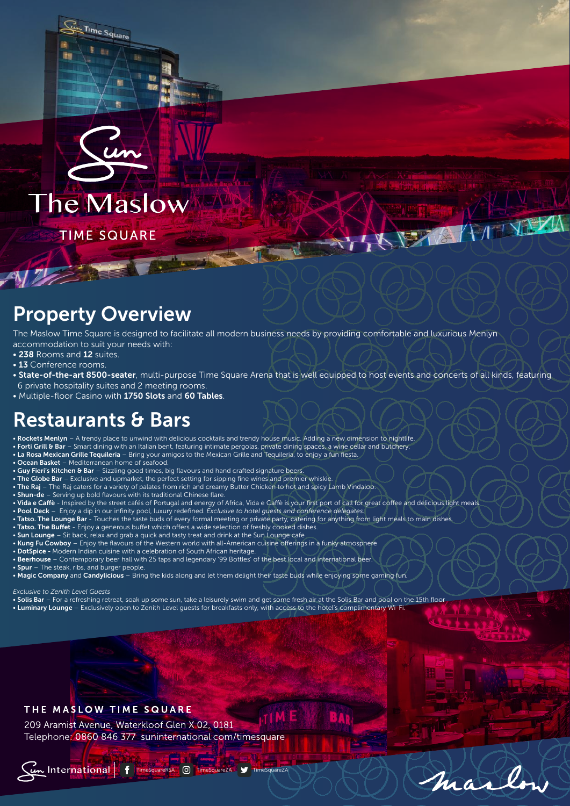

**TIME SQUARE** 

Time Square

# Property Overview

The Maslow Time Square is designed to facilitate all modern business needs by providing comfortable and luxurious Menlyn accommodation to suit your needs with:

- 238 Rooms and 12 suites.
- 13 Conference rooms.
- State-of-the-art 8500-seater, multi-purpose Time Square Arena that is well equipped to host events and concerts of all kinds, featuring 6 private hospitality suites and 2 meeting rooms.

KISTA / 11

marle

• Multiple-floor Casino with 1750 Slots and 60 Tables.

### Restaurants & Bars

• Rockets Menlyn – A trendy place to unwind with delicious cocktails and trendy house music. Adding a new dimension to nightlife.

- Forti Grill & Bar Smart dining with an Italian bent, featuring intimate pergolas, private dining spaces, a wine cellar and butchery.
- La Rosa Mexican Grille Tequileria Bring your amigos to the Mexican Grille and Tequileria, to enjoy a fun fiesta.
- Ocean Basket Mediterranean home of seafood.
- Guy Fieri's Kitchen & Bar Sizzling good times, big flavours and hand crafted signature beers.
- The Globe Bar Exclusive and upmarket, the perfect setting for sipping fine wines and premier whiskie.
- The Raj The Raj caters for a variety of palates from rich and creamy Butter Chicken to hot and spicy Lamb Vindaloo.
- Shun-de Serving up bold flavours with its traditional Chinese flare.
- Vida e Caffe Inspired by the street cafés of Portugal and energy of Africa, Vida e Caffe is your first port of call for great coffee and delicious light meals
- Pool Deck Enjoy a dip in our infinity pool, luxury redefined. *Exclusive to hotel guests and conference delegates.*
- . Tatso. The Lounge Bar Touches the taste buds of every formal meeting or private party, catering for anything from light meals to main dishes
- Tatso. The Buffet Enjoy a generous buffet which offers a wide selection of freshly cooked dishes.
- Sun Lounge Sit back, relax and grab a quick and tasty treat and drink at the Sun Lounge cafe
- Kung Fu Cowboy Enjoy the flavours of the Western world with all-American cuisine offerings in a funky atmosphere
- DotSpice Modern Indian cuisine with a celebration of South African heritage.
- Beerhouse Contemporary beer hall with 25 taps and legendary '99 Bottles' of the best local and international beer.
- Spur The steak, ribs, and burger people.
- Magic Company and Candylicious Bring the kids along and let them delight their taste buds while enjoying some gaming fun.

*Exclusive to Zenith Level Guests*

- Solis Bar For a refreshing retreat, soak up some sun, take a leisurely swim and get some fresh air at the Solis Bar and pool on the 15th floor • Luminary Lounge – Exclusively open to Zenith Level guests for breakfasts only, with access to the hotel's complimentary Wi-Fi.
- 

#### THE MASLOW TIME SQUARE

209 Aramist Avenue, Waterkloof Glen X 02, 0181 Telephone: 0860 846 377 suninternational.com/timesquare

Cun International | F TimeSquareRSA | O TimeSquareZA J TimeSquareZA